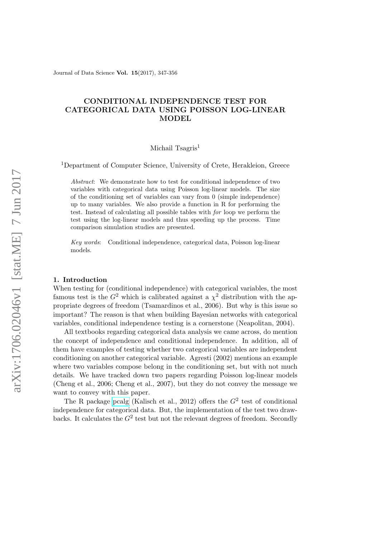Journal of Data Science Vol. 15(2017), 347-356

# CONDITIONAL INDEPENDENCE TEST FOR CATEGORICAL DATA USING POISSON LOG-LINEAR MODEL

### Michail Tsagris<sup>1</sup>

<sup>1</sup>Department of Computer Science, University of Crete, Herakleion, Greece

Abstract: We demonstrate how to test for conditional independence of two variables with categorical data using Poisson log-linear models. The size of the conditioning set of variables can vary from 0 (simple independence) up to many variables. We also provide a function in R for performing the test. Instead of calculating all possible tables with for loop we perform the test using the log-linear models and thus speeding up the process. Time comparison simulation studies are presented.

Key words: Conditional independence, categorical data, Poisson log-linear models.

### 1. Introduction

When testing for (conditional independence) with categorical variables, the most famous test is the  $G^2$  which is calibrated against a  $\chi^2$  distribution with the appropriate degrees of freedom (Tsamardinos et al., 2006). But why is this issue so important? The reason is that when building Bayesian networks with categorical variables, conditional independence testing is a cornerstone (Neapolitan, 2004).

All textbooks regarding categorical data analysis we came across, do mention the concept of independence and conditional independence. In addition, all of them have examples of testing whether two categorical variables are independent conditioning on another categorical variable. Agresti (2002) mentions an example where two variables compose belong in the conditioning set, but with not much details. We have tracked down two papers regarding Poisson log-linear models (Cheng et al., 2006; Cheng et al., 2007), but they do not convey the message we want to convey with this paper.

The R package [pcalg](https://cran.r-project.org/web/packages/pcalg/index.html) (Kalisch et al., 2012) offers the  $G<sup>2</sup>$  test of conditional independence for categorical data. But, the implementation of the test two drawbacks. It calculates the  $G^2$  test but not the relevant degrees of freedom. Secondly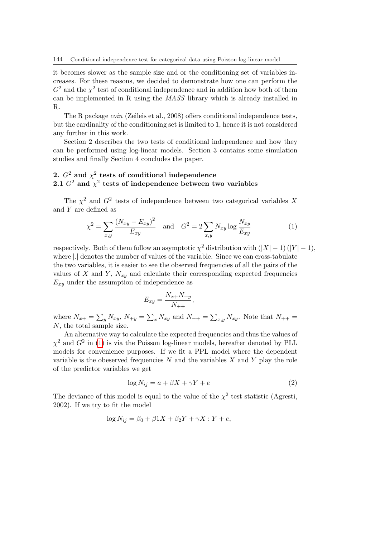it becomes slower as the sample size and or the conditioning set of variables increases. For these reasons, we decided to demonstrate how one can perform the  $G<sup>2</sup>$  and the  $\chi<sup>2</sup>$  test of conditional independence and in addition how both of them can be implemented in R using the MASS library which is already installed in R.

The R package coin (Zeileis et al., 2008) offers conditional independence tests, but the cardinality of the conditioning set is limited to 1, hence it is not considered any further in this work.

Section 2 describes the two tests of conditional independence and how they can be performed using log-linear models. Section 3 contains some simulation studies and finally Section 4 concludes the paper.

## 2.  $G^2$  and  $\chi^2$  tests of conditional independence 2.1  $G^2$  and  $\chi^2$  tests of independence between two variables

The  $\chi^2$  and  $G^2$  tests of independence between two categorical variables X and Y are defined as

<span id="page-1-0"></span>
$$
\chi^2 = \sum_{x,y} \frac{(N_{xy} - E_{xy})^2}{E_{xy}} \quad \text{and} \quad G^2 = 2 \sum_{x,y} N_{xy} \log \frac{N_{xy}}{E_{xy}}
$$
(1)

respectively. Both of them follow an asymptotic  $\chi^2$  distribution with  $(|X|-1)(|Y|-1)$ , where |.| denotes the number of values of the variable. Since we can cross-tabulate the two variables, it is easier to see the observed frequencies of all the pairs of the values of X and Y,  $N_{xy}$  and calculate their corresponding expected frequencies  $E_{xy}$  under the assumption of independence as

$$
E_{xy} = \frac{N_{x+}N_{+y}}{N_{++}},
$$

where  $N_{x+} = \sum_{y} N_{xy}$ ,  $N_{+y} = \sum_{x} N_{xy}$  and  $N_{++} = \sum_{x,y} N_{xy}$ . Note that  $N_{++} =$ N, the total sample size.

An alternative way to calculate the expected frequencies and thus the values of  $\chi^2$  and  $G^2$  in [\(1\)](#page-1-0) is via the Poisson log-linear models, hereafter denoted by PLL models for convenience purposes. If we fit a PPL model where the dependent variable is the obeserved frequencies  $N$  and the variables  $X$  and  $Y$  play the role of the predictor variables we get

<span id="page-1-1"></span>
$$
\log N_{ij} = a + \beta X + \gamma Y + e \tag{2}
$$

The deviance of this model is equal to the value of the  $\chi^2$  test statistic (Agresti, 2002). If we try to fit the model

$$
\log N_{ij} = \beta_0 + \beta 1X + \beta_2 Y + \gamma X : Y + e,
$$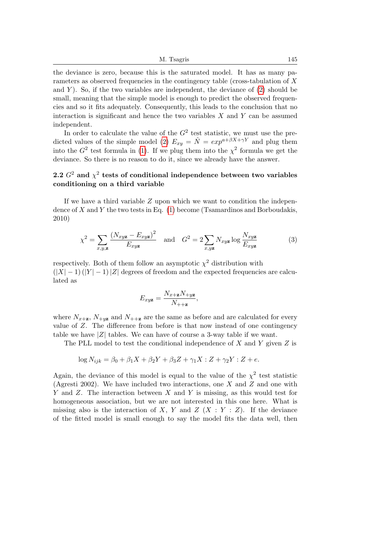M. Tsagris 145

the deviance is zero, because this is the saturated model. It has as many parameters as observed frequencies in the contingency table (cross-tabulation of X and  $Y$ ). So, if the two variables are independent, the deviance of  $(2)$  should be small, meaning that the simple model is enough to predict the observed frequencies and so it fits adequately. Consequently, this leads to the conclusion that no interaction is significant and hence the two variables  $X$  and  $Y$  can be assumed independent.

In order to calculate the value of the  $G^2$  test statistic, we must use the pre-dicted values of the simple model [\(2\)](#page-1-1)  $E_{xy} = \hat{N} = exp^{a+\beta X+\gamma Y}$  and plug them into the  $G^2$  test formula in [\(1\)](#page-1-0). If we plug them into the  $\chi^2$  formula we get the deviance. So there is no reason to do it, since we already have the answer.

## 2.2  $G^2$  and  $\chi^2$  tests of conditional independence between two variables conditioning on a third variable

If we have a third variable  $Z$  upon which we want to condition the independence of X and Y the two tests in Eq.  $(1)$  become (Tsamardinos and Borboudakis, 2010)

<span id="page-2-0"></span>
$$
\chi^2 = \sum_{x,y,\mathbf{z}} \frac{(N_{xy\mathbf{z}} - E_{xy\mathbf{z}})^2}{E_{xy\mathbf{z}}} \quad \text{and} \quad G^2 = 2 \sum_{x,y\mathbf{z}} N_{xy\mathbf{z}} \log \frac{N_{xy\mathbf{z}}}{E_{xy\mathbf{z}}} \tag{3}
$$

,

respectively. Both of them follow an asymptotic  $\chi^2$  distribution with  $(|X| - 1)$  (|Y| − 1)|Z| degrees of freedom and the expected frequencies are calculated as

$$
E_{xy\mathbf{z}} = \frac{N_{x+\mathbf{z}}N_{+y\mathbf{z}}}{N_{++\mathbf{z}}}
$$

where  $N_{x+\mathbf{z}}$ ,  $N_{+\mathbf{yz}}$  and  $N_{+\mathbf{z}}$  are the same as before and are calculated for every value of Z. The difference from before is that now instead of one contingency table we have  $|Z|$  tables. We can have of course a 3-way table if we want.

The PLL model to test the conditional independence of X and Y given  $Z$  is

$$
\log N_{ijk} = \beta_0 + \beta_1 X + \beta_2 Y + \beta_3 Z + \gamma_1 X : Z + \gamma_2 Y : Z + e.
$$

Again, the deviance of this model is equal to the value of the  $\chi^2$  test statistic (Agresti 2002). We have included two interactions, one  $X$  and  $Z$  and one with Y and Z. The interaction between X and Y is missing, as this would test for homogeneous association, but we are not interested in this one here. What is missing also is the interaction of X, Y and Z  $(X : Y : Z)$ . If the deviance of the fitted model is small enough to say the model fits the data well, then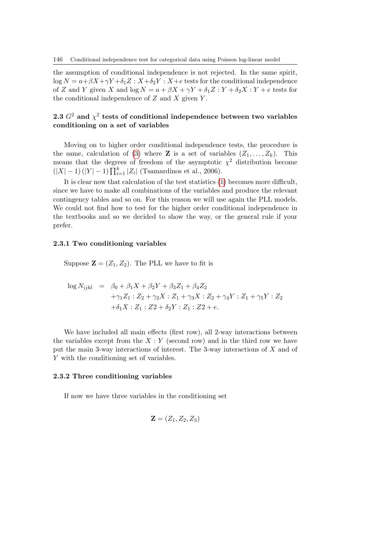the assumption of conditional independence is not rejected. In the same spirit,  $\log N = a + \beta X + \gamma Y + \delta_1 Z : X + \delta_2 Y : X + e$  tests for the conditional independence of Z and Y given X and  $\log N = a + \beta X + \gamma Y + \delta_1 Z : Y + \delta_2 X : Y + e$  tests for the conditional independence of  $Z$  and  $X$  given  $Y$ .

## 2.3  $G^2$  and  $\chi^2$  tests of conditional independence between two variables conditioning on a set of variables

Moving on to higher order conditional independence tests, the procedure is the same, calculation of [\(3\)](#page-2-0) where **Z** is a set of variables  $(Z_1, \ldots, Z_k)$ . This means that the degrees of freedom of the asymptotic  $\chi^2$  distribution become  $(|X| - 1) (|Y| - 1) \prod_{i=1}^{k} |Z_i|$  (Tsamardinos et al., 2006).

It is clear now that calculation of the test statistics [\(1\)](#page-1-0) becomes more difficult, since we have to make all combinations of the variables and produce the relevant contingency tables and so on. For this reason we will use again the PLL models. We could not find how to test for the higher order conditional independence in the textbooks and so we decided to show the way, or the general rule if your prefer.

#### 2.3.1 Two conditioning variables

Suppose  $\mathbf{Z} = (Z_1, Z_2)$ . The PLL we have to fit is

$$
\log N_{ijkl} = \beta_0 + \beta_1 X + \beta_2 Y + \beta_3 Z_1 + \beta_4 Z_2
$$
  
+  $\gamma_1 Z_1 : Z_2 + \gamma_2 X : Z_1 + \gamma_3 X : Z_2 + \gamma_4 Y : Z_1 + \gamma_5 Y : Z_2$   
+  $\delta_1 X : Z_1 : Z_2 + \delta_2 Y : Z_1 : Z_2 + e$ .

We have included all main effects (first row), all 2-way interactions between the variables except from the  $X: Y$  (second row) and in the third row we have put the main 3-way interactions of interest. The 3-way interactions of X and of Y with the conditioning set of variables.

#### 2.3.2 Three conditioning variables

If now we have three variables in the conditioning set

$$
\mathbf{Z}=(Z_1,Z_2,Z_3)
$$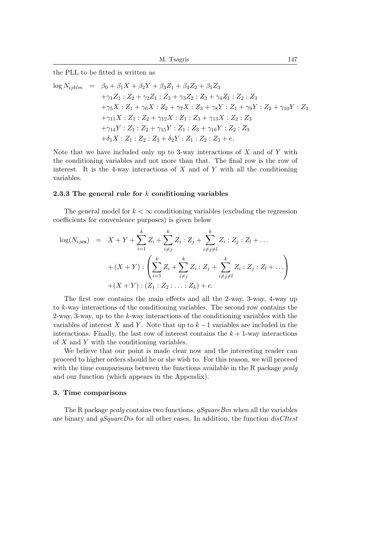the PLL to be fitted is written as

$$
\log N_{ijklm} = \beta_0 + \beta_1 X + \beta_2 Y + \beta_3 Z_1 + \beta_4 Z_2 + \beta_5 Z_3
$$
  
+ $\gamma_1 Z_1 : Z_2 + \gamma_2 Z_1 : Z_3 + \gamma_3 Z_2 : Z_3 + \gamma_4 Z_1 : Z_2 : Z_3$   
+ $\gamma_5 X : Z_1 + \gamma_6 X : Z_2 + \gamma_7 X : Z_3 + \gamma_8 Y : Z_1 + \gamma_9 Y : Z_2 + \gamma_{10} Y : Z_3$   
+ $\gamma_{11} X : Z_1 : Z_2 + \gamma_{12} X : Z_1 : Z_3 + \gamma_{13} X : Z_2 : Z_3$   
+ $\gamma_{14} Y : Z_1 : Z_2 + \gamma_{15} Y : Z_1 : Z_3 + \gamma_{16} Y : Z_2 : Z_3$   
+ $\delta_1 X : Z_1 : Z_2 : Z_3 + \delta_2 Y : Z_1 : Z_2 : Z_3 + e$ .

Note that we have included only up to 3-way interactions of  $X$  and of  $Y$  with the conditioning variables and not more than that. The final row is the row of interest. It is the 4-way interactions of  $X$  and of  $Y$  with all the conditioning variables.

### 2.3.3 The general rule for  $k$  conditioning variables

The general model for  $k < \infty$  conditioning variables (excluding the regression coefficients for convenience purposes) is given below

$$
\log(N_{ijcs}) = X + Y + \sum_{i=1}^{k} Z_i + \sum_{i \neq j}^{k} Z_i : Z_j + \sum_{i \neq j \neq l}^{k} Z_i : Z_j : Z_l + \dots
$$
  
+ 
$$
(X + Y) : \left( \sum_{i=1}^{k} Z_i + \sum_{i \neq j}^{k} Z_i : Z_j + \sum_{i \neq j \neq l}^{k} Z_i : Z_j : Z_l + \dots \right)
$$
  
+ 
$$
(X + Y) : (Z_1 : Z_2 : \dots : Z_k) + e.
$$

The first row contains the main effects and all the 2-way, 3-way, 4-way up to k-way interactions of the conditioning variables. The second row contains the 2-way, 3-way, up to the  $k$ -way interactions of the conditioning variables with the variables of interest X and Y. Note that up to  $k-1$  variables are included in the interactions. Finally, the last row of interest contains the  $k + 1$ -way interactions of  $X$  and  $Y$  with the conditioning variables.

We believe that our point is made clear now and the interesting reader can proceed to higher orders should he or she wish to. For this reason, we will proceed with the time comparisons between the functions available in the R package *pcalg* and our function (which appears in the Appendix).

#### 3. Time comparisons

The R package *pcalg* contains two functions,  $qSquareBin$  when all the variables are binary and gSquareDis for all other cases. In addition, the function disCItest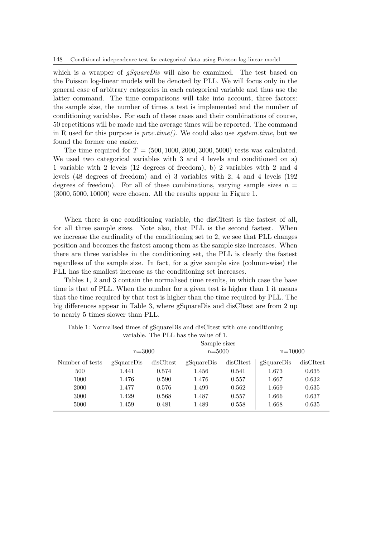which is a wrapper of  $qSquareDis$  will also be examined. The test based on the Poisson log-linear models will be denoted by PLL. We will focus only in the general case of arbitrary categories in each categorical variable and thus use the latter command. The time comparisons will take into account, three factors: the sample size, the number of times a test is implemented and the number of conditioning variables. For each of these cases and their combinations of course, 50 repetitions will be made and the average times will be reported. The command in R used for this purpose is  $proc.time()$ . We could also use system time, but we found the former one easier.

The time required for  $T = (500, 1000, 2000, 3000, 5000)$  tests was calculated. We used two categorical variables with  $3$  and  $4$  levels and conditioned on a) 1 variable with 2 levels (12 degrees of freedom), b) 2 variables with 2 and 4 levels (48 degrees of freedom) and c) 3 variables with 2, 4 and 4 levels (192 degrees of freedom). For all of these combinations, varying sample sizes  $n =$ (3000, 5000, 10000) were chosen. All the results appear in Figure 1.

When there is one conditioning variable, the disCItest is the fastest of all, for all three sample sizes. Note also, that PLL is the second fastest. When we increase the cardinality of the conditioning set to 2, we see that PLL changes position and becomes the fastest among them as the sample size increases. When there are three variables in the conditioning set, the PLL is clearly the fastest regardless of the sample size. In fact, for a give sample size (column-wise) the PLL has the smallest increase as the conditioning set increases.

Tables 1, 2 and 3 contain the normalised time results, in which case the base time is that of PLL. When the number for a given test is higher than 1 it means that the time required by that test is higher than the time required by PLL. The big differences appear in Table 3, where gSquareDis and disCItest are from 2 up to nearly 5 times slower than PLL.

|                 | Sample sizes |           |            |           |            |           |
|-----------------|--------------|-----------|------------|-----------|------------|-----------|
|                 | $n = 3000$   |           | $n = 5000$ |           | $n=10000$  |           |
| Number of tests | gSquareDis   | disCItest | gSquareDis | disCItest | gSquareDis | disCItest |
| 500             | 1.441        | 0.574     | 1.456      | 0.541     | 1.673      | 0.635     |
| 1000            | 1.476        | 0.590     | 1.476      | 0.557     | 1.667      | 0.632     |
| 2000            | 1.477        | 0.576     | 1.499      | 0.562     | 1.669      | 0.635     |
| 3000            | 1.429        | 0.568     | 1.487      | 0.557     | 1.666      | 0.637     |
| 5000            | 1.459        | 0.481     | 1.489      | 0.558     | 1.668      | 0.635     |

Table 1: Normalised times of gSquareDis and disCItest with one conditioning variable. The PLL has the value of 1.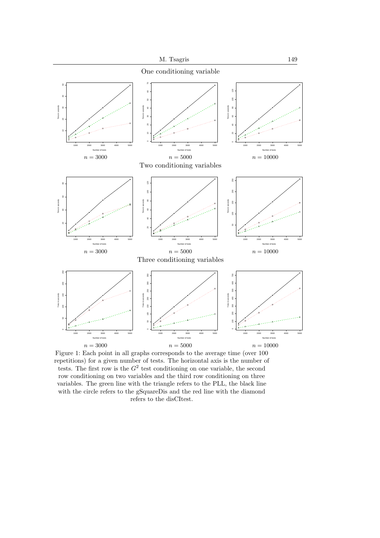

Figure 1: Each point in all graphs corresponds to the average time (over 100 repetitions) for a given number of tests. The horizontal axis is the number of tests. The first row is the  $G^2$  test conditioning on one variable, the second row conditioning on two variables and the third row conditioning on three variables. The green line with the triangle refers to the PLL, the black line with the circle refers to the gSquareDis and the red line with the diamond refers to the disCItest.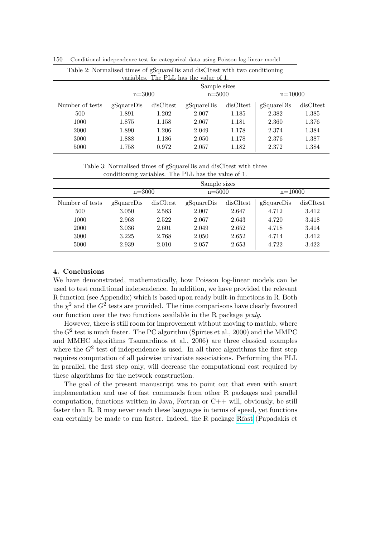| Table 2: Normalised times of gSquareDis and disCItest with two conditioning<br>variables. The PLL has the value of 1. |              |           |            |           |            |           |
|-----------------------------------------------------------------------------------------------------------------------|--------------|-----------|------------|-----------|------------|-----------|
|                                                                                                                       | Sample sizes |           |            |           |            |           |
|                                                                                                                       | $n = 3000$   |           | $n = 5000$ |           | $n=10000$  |           |
| Number of tests                                                                                                       | gSquareDis   | disCItest | gSquareDis | disCItest | gSquareDis | disCItest |
| 500                                                                                                                   | 1.891        | 1.202     | 2.007      | 1.185     | 2.382      | 1.385     |
| 1000                                                                                                                  | 1.875        | 1.158     | 2.067      | 1.181     | 2.360      | 1.376     |
| 2000                                                                                                                  | 1.890        | 1.206     | 2.049      | 1.178     | 2.374      | 1.384     |
| 3000                                                                                                                  | 1.888        | 1.186     | 2.050      | 1.178     | 2.376      | 1.387     |
| 5000                                                                                                                  | 1.758        | 0.972     | 2.057      | 1.182     | 2.372      | 1.384     |

150 Conditional independence test for categorical data using Poisson log-linear model

Table 3: Normalised times of gSquareDis and disCItest with three conditioning variables. The PLL has the value of 1.

|                 | Sample sizes |           |            |           |            |           |
|-----------------|--------------|-----------|------------|-----------|------------|-----------|
|                 | $n = 3000$   |           | $n = 5000$ |           | $n=10000$  |           |
| Number of tests | gSquareDis   | disCItest | gSquareDis | disCItest | gSquareDis | disCItest |
| 500             | 3.050        | 2.583     | 2.007      | 2.647     | 4.712      | 3.412     |
| 1000            | 2.968        | 2.522     | 2.067      | 2.643     | 4.720      | 3.418     |
| 2000            | 3.036        | 2.601     | 2.049      | 2.652     | 4.718      | 3.414     |
| 3000            | 3.225        | 2.768     | 2.050      | 2.652     | 4.714      | 3.412     |
| 5000            | 2.939        | 2.010     | 2.057      | 2.653     | 4.722      | 3.422     |

## 4. Conclusions

We have demonstrated, mathematically, how Poisson log-linear models can be used to test conditional independence. In addition, we have provided the relevant R function (see Appendix) which is based upon ready built-in functions in R. Both the  $\chi^2$  and the  $G^2$  tests are provided. The time comparisons have clearly favoured our function over the two functions available in the R package pcalg.

However, there is still room for improvement without moving to matlab, where the  $G^2$  test is much faster. The PC algorithm (Spirtes et al., 2000) and the MMPC and MMHC algorithms Tsamardinos et al., 2006) are three classical examples where the  $G^2$  test of independence is used. In all three algorithms the first step requires computation of all pairwise univariate associations. Performing the PLL in parallel, the first step only, will decrease the computational cost required by these algorithms for the network construction.

The goal of the present manuscript was to point out that even with smart implementation and use of fast commands from other R packages and parallel computation, functions written in Java, Fortran or C++ will, obviously, be still faster than R. R may never reach these languages in terms of speed, yet functions can certainly be made to run faster. Indeed, the R package [Rfast](https://cran.r-project.org/web/packages/Rfast/index.html) (Papadakis et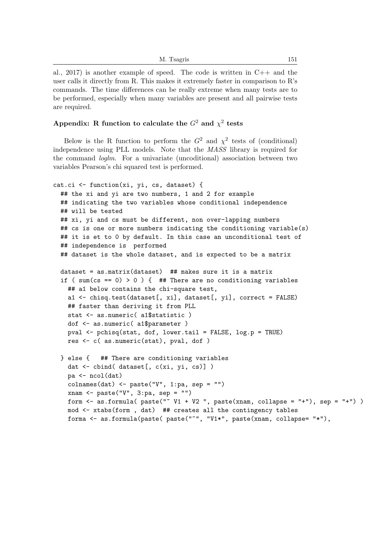| M. Tsagris | 151 |
|------------|-----|
|            |     |

al., 2017) is another example of speed. The code is written in  $C_{++}$  and the user calls it directly from R. This makes it extremely faster in comparison to R's commands. The time differences can be really extreme when many tests are to be performed, especially when many variables are present and all pairwise tests are required.

## Appendix: R function to calculate the  $G^2$  and  $\chi^2$  tests

Below is the R function to perform the  $G^2$  and  $\chi^2$  tests of (conditional) independence using PLL models. Note that the MASS library is required for the command loglm. For a univariate (uncoditional) association between two variables Pearson's chi squared test is performed.

```
cat.ci <- function(xi, yi, cs, dataset) {
 ## the xi and yi are two numbers, 1 and 2 for example
 ## indicating the two variables whose conditional independence
 ## will be tested
 ## xi, yi and cs must be different, non over-lapping numbers
 ## cs is one or more numbers indicating the conditioning variable(s)
 ## it is et to 0 by default. In this case an unconditional test of
 ## independence is performed
 ## dataset is the whole dataset, and is expected to be a matrix
 dataset = as.matrix(dataset) ## makes sure it is a matrix
 if ( sum(cs == 0) > 0 ) { ## There are no conditioning variables
   ## a1 below contains the chi-square test,
   a1 <- chisq.test(dataset[, xi], dataset[, yi], correct = FALSE)
   ## faster than deriving it from PLL
   stat <- as.numeric( a1$statistic )
   dof <- as.numeric( a1$parameter )
   pval <- pchisq(stat, dof, lower.tail = FALSE, log.p = TRUE)
   res <- c( as.numeric(stat), pval, dof )
 } else { ## There are conditioning variables
   dat <- cbind( dataset[, c(xi, yi, cs)] )
   pa <- ncol(dat)
   colnames(dat) <- paste("V", 1:pa, sep = "")
   xnam <- paste("V", 3:pa, sep = "")
   form \leq as.formula( paste("\leq V1 + V2 ", paste(xnam, collapse = "+"), sep = "+"))
   mod <- xtabs(form , dat) ## creates all the contingency tables
   forma <- as.formula(paste( paste("~", "V1*", paste(xnam, collapse= "*"),
```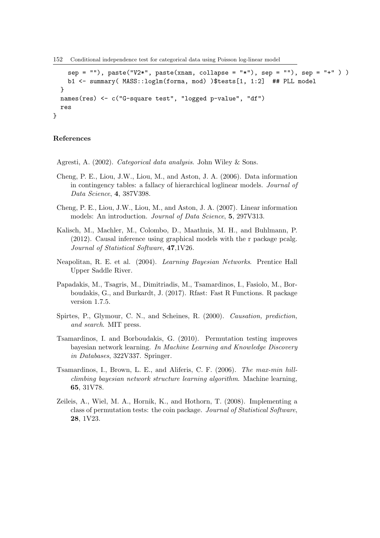152 Conditional independence test for categorical data using Poisson log-linear model

```
sep = "), paste("V2*", paste(xnam, collapse = "*"), sep = ""), sep = "+"))
    b1 <- summary( MASS::loglm(forma, mod) )$tests[1, 1:2] ## PLL model
  }
 names(res) <- c("G-square test", "logged p-value", "df")
  res
}
```
### References

Agresti, A. (2002). Categorical data analysis. John Wiley & Sons.

- Cheng, P. E., Liou, J.W., Liou, M., and Aston, J. A. (2006). Data information in contingency tables: a fallacy of hierarchical loglinear models. Journal of Data Science, 4, 387V398.
- Cheng, P. E., Liou, J.W., Liou, M., and Aston, J. A. (2007). Linear information models: An introduction. Journal of Data Science, 5, 297V313.
- Kalisch, M., Machler, M., Colombo, D., Maathuis, M. H., and Buhlmann, P. (2012). Causal inference using graphical models with the r package pcalg. Journal of Statistical Software, 47,1V26.
- Neapolitan, R. E. et al. (2004). Learning Bayesian Networks. Prentice Hall Upper Saddle River.
- Papadakis, M., Tsagris, M., Dimitriadis, M., Tsamardinos, I., Fasiolo, M., Borboudakis, G., and Burkardt, J. (2017). Rfast: Fast R Functions. R package version 1.7.5.
- Spirtes, P., Glymour, C. N., and Scheines, R. (2000). Causation, prediction, and search. MIT press.
- Tsamardinos, I. and Borboudakis, G. (2010). Permutation testing improves bayesian network learning. In Machine Learning and Knowledge Discovery in Databases, 322V337. Springer.
- Tsamardinos, I., Brown, L. E., and Aliferis, C. F. (2006). The max-min hillclimbing bayesian network structure learning algorithm. Machine learning, 65, 31V78.
- Zeileis, A., Wiel, M. A., Hornik, K., and Hothorn, T. (2008). Implementing a class of permutation tests: the coin package. Journal of Statistical Software, 28, 1V23.